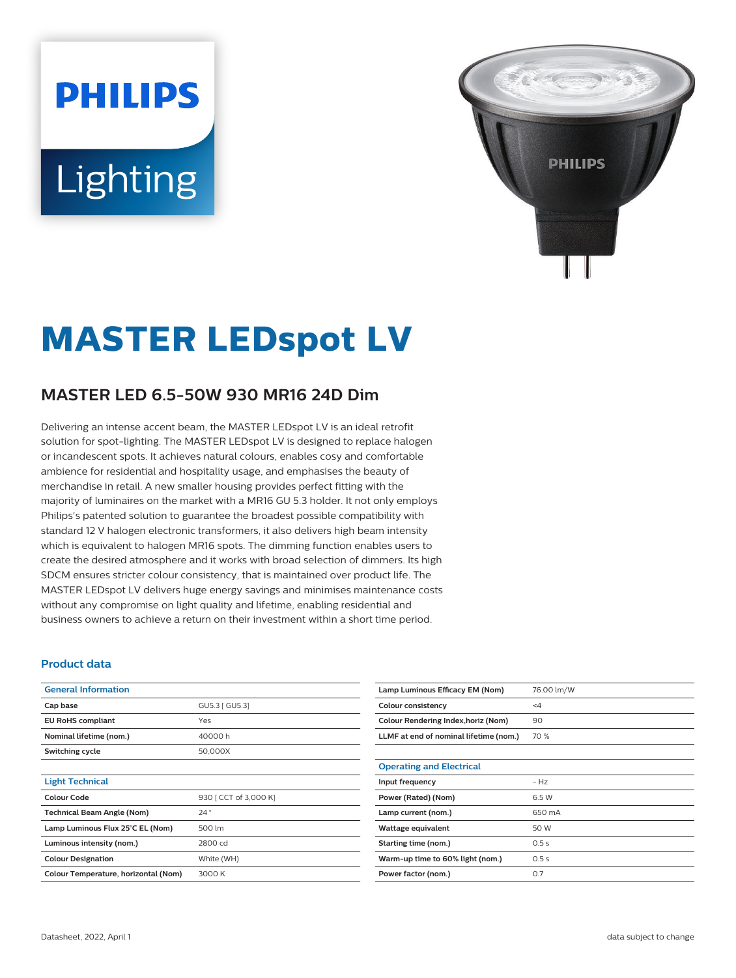# **PHILIPS** Lighting



## **MASTER LEDspot LV**

### **MASTER LED 6.5-50W 930 MR16 24D Dim**

Delivering an intense accent beam, the MASTER LEDspot LV is an ideal retrofit solution for spot-lighting. The MASTER LEDspot LV is designed to replace halogen or incandescent spots. It achieves natural colours, enables cosy and comfortable ambience for residential and hospitality usage, and emphasises the beauty of merchandise in retail. A new smaller housing provides perfect fitting with the majority of luminaires on the market with a MR16 GU 5.3 holder. It not only employs Philips's patented solution to guarantee the broadest possible compatibility with standard 12 V halogen electronic transformers, it also delivers high beam intensity which is equivalent to halogen MR16 spots. The dimming function enables users to create the desired atmosphere and it works with broad selection of dimmers. Its high SDCM ensures stricter colour consistency, that is maintained over product life. The MASTER LEDspot LV delivers huge energy savings and minimises maintenance costs without any compromise on light quality and lifetime, enabling residential and business owners to achieve a return on their investment within a short time period.

#### **Product data**

| <b>General Information</b>           |                       |
|--------------------------------------|-----------------------|
| Cap base                             | GU5.3   GU5.31        |
| <b>EU RoHS compliant</b>             | Yes                   |
| Nominal lifetime (nom.)              | 40000 h               |
| Switching cycle                      | 50,000X               |
|                                      |                       |
| <b>Light Technical</b>               |                       |
| Colour Code                          | 930 [ CCT of 3,000 K] |
| <b>Technical Beam Angle (Nom)</b>    | 24°                   |
| Lamp Luminous Flux 25°C EL (Nom)     | 500 lm                |
| Luminous intensity (nom.)            | 2800 cd               |
| <b>Colour Designation</b>            | White (WH)            |
| Colour Temperature, horizontal (Nom) | 3000 K                |

| Lamp Luminous Efficacy EM (Nom)        | 76.00 lm/W |
|----------------------------------------|------------|
| Colour consistency                     | $\leq 4$   |
| Colour Rendering Index, horiz (Nom)    | 90         |
| LLMF at end of nominal lifetime (nom.) | 70 %       |
|                                        |            |
| <b>Operating and Electrical</b>        |            |
| Input frequency                        | $-HZ$      |
| Power (Rated) (Nom)                    | 6.5 W      |
| Lamp current (nom.)                    | 650 mA     |
| Wattage equivalent                     | 50 W       |
| Starting time (nom.)                   | 0.5s       |
| Warm-up time to 60% light (nom.)       | 0.5s       |
| Power factor (nom.)                    | 0.7        |
|                                        |            |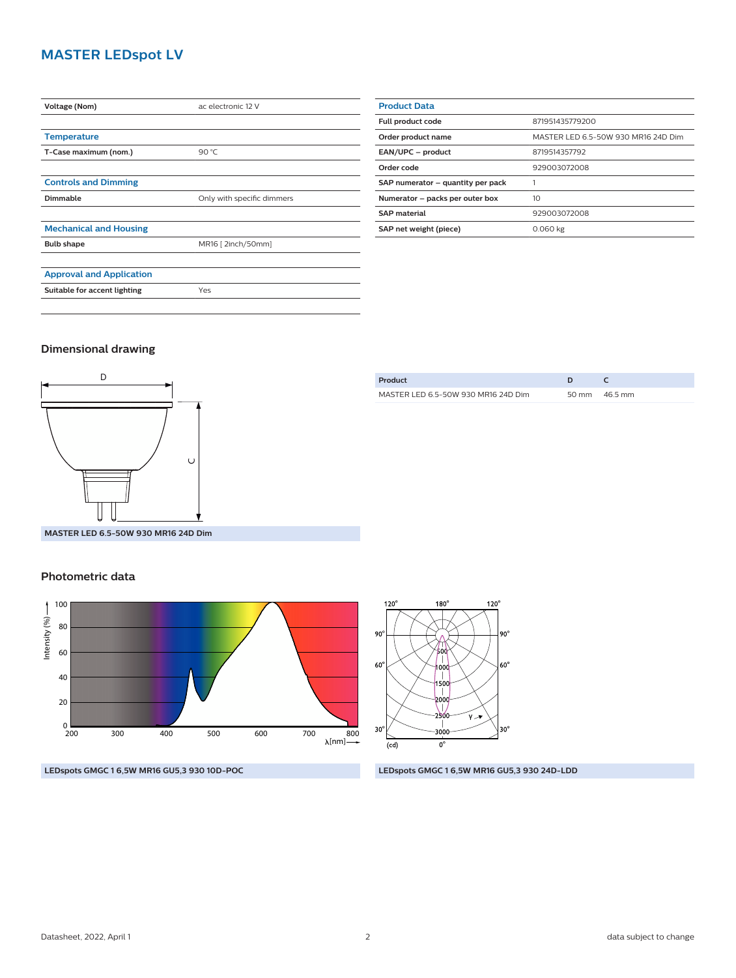#### **MASTER LEDspot LV**

| Voltage (Nom)                   | ac electronic 12 V         |  |
|---------------------------------|----------------------------|--|
|                                 |                            |  |
| <b>Temperature</b>              |                            |  |
| T-Case maximum (nom.)           | 90 °C                      |  |
|                                 |                            |  |
| <b>Controls and Dimming</b>     |                            |  |
| <b>Dimmable</b>                 | Only with specific dimmers |  |
|                                 |                            |  |
| <b>Mechanical and Housing</b>   |                            |  |
| <b>Bulb shape</b>               | MR16 [ 2inch/50mm]         |  |
|                                 |                            |  |
| <b>Approval and Application</b> |                            |  |
| Suitable for accent lighting    | Yes                        |  |
|                                 |                            |  |

| <b>Product Data</b>               |                                     |  |
|-----------------------------------|-------------------------------------|--|
| Full product code                 | 871951435779200                     |  |
| Order product name                | MASTER LED 6.5-50W 930 MR16 24D Dim |  |
| EAN/UPC - product                 | 8719514357792                       |  |
| Order code                        | 929003072008                        |  |
| SAP numerator - quantity per pack |                                     |  |
| Numerator - packs per outer box   | 10                                  |  |
| <b>SAP material</b>               | 929003072008                        |  |
| SAP net weight (piece)            | 0.060 kg                            |  |

#### **Dimensional drawing**



| Product                             | D |                 |
|-------------------------------------|---|-----------------|
| MASTER LED 6.5-50W 930 MR16 24D Dim |   | 50 mm $46.5$ mm |
|                                     |   |                 |

**MASTER LED 6.5-50W 930 MR16 24D Dim**

#### **Photometric data**





#### **LEDspots GMGC 1 6,5W MR16 GU5,3 930 10D-POC LEDspots GMGC 1 6,5W MR16 GU5,3 930 24D-LDD**